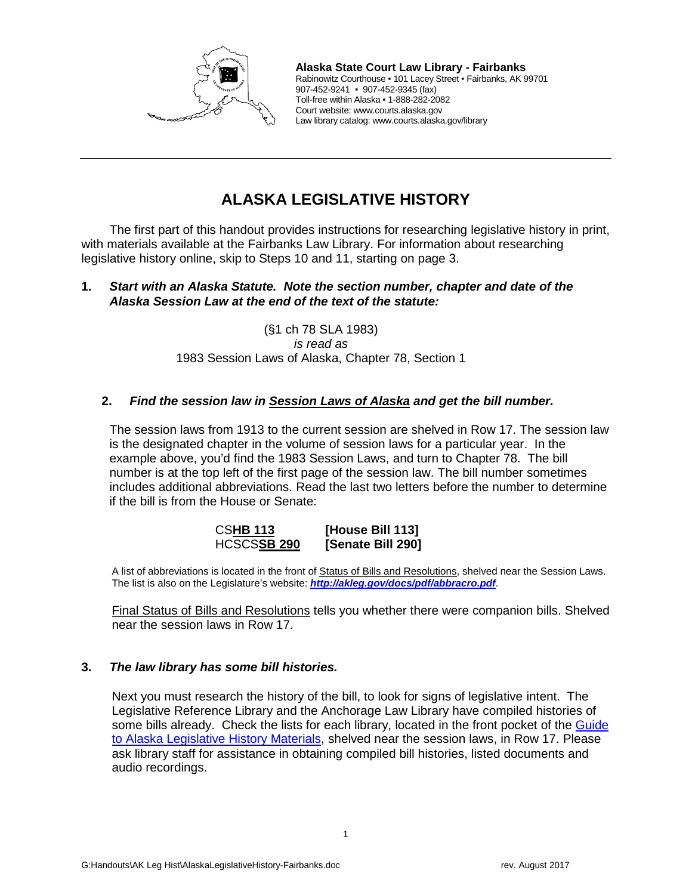

**Alaska State Court Law Library - Fairbanks** Rabinowitz Courthouse ▪ 101 Lacey Street ▪ Fairbanks, AK 99701 907-452-9241 ▪ 907-452-9345 (fax) Toll-free within Alaska ▪ 1-888-282-2082 Court website: www.courts.alaska.gov Law library catalog: www.courts.alaska.gov/library

# **ALASKA LEGISLATIVE HISTORY**

The first part of this handout provides instructions for researching legislative history in print, with materials available at the Fairbanks Law Library. For information about researching legislative history online, skip to Steps 10 and 11, starting on page 3.

## **1.** *Start with an Alaska Statute. Note the section number, chapter and date of the Alaska Session Law at the end of the text of the statute:*

(§1 ch 78 SLA 1983) *is read as* 1983 Session Laws of Alaska, Chapter 78, Section 1

## **2.** *Find the session law in Session Laws of Alaska and get the bill number.*

The session laws from 1913 to the current session are shelved in Row 17. The session law is the designated chapter in the volume of session laws for a particular year. In the example above, you'd find the 1983 Session Laws, and turn to Chapter 78. The bill number is at the top left of the first page of the session law. The bill number sometimes includes additional abbreviations. Read the last two letters before the number to determine if the bill is from the House or Senate:

> CS**HB 113 [House Bill 113] [Senate Bill 290]**

A list of abbreviations is located in the front of Status of Bills and Resolutions, shelved near the Session Laws. The list is also on the Legislature's website: *<http://akleg.gov/docs/pdf/abbracro.pdf>*.

Final Status of Bills and Resolutions tells you whether there were companion bills. Shelved near the session laws in Row 17.

## **3.** *The law library has some bill histories.*

Next you must research the history of the bill, to look for signs of legislative intent. The Legislative Reference Library and the Anchorage Law Library have compiled histories of some bills already. Check the lists for each library, located in the front pocket of the [Guide](http://akleg.gov/laa/library/leg_history.php)  [to Alaska Legislative History Materials,](http://akleg.gov/laa/library/leg_history.php) shelved near the session laws, in Row 17. Please ask library staff for assistance in obtaining compiled bill histories, listed documents and audio recordings.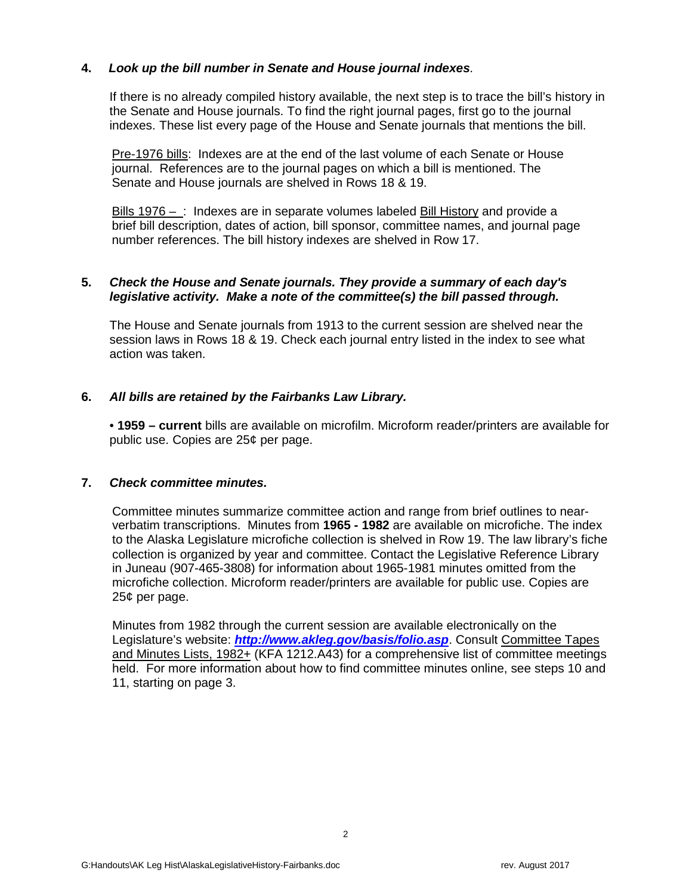## **4.** *Look up the bill number in Senate and House journal indexes*.

If there is no already compiled history available, the next step is to trace the bill's history in the Senate and House journals. To find the right journal pages, first go to the journal indexes. These list every page of the House and Senate journals that mentions the bill.

Pre-1976 bills: Indexes are at the end of the last volume of each Senate or House journal. References are to the journal pages on which a bill is mentioned. The Senate and House journals are shelved in Rows 18 & 19.

Bills 1976 – : Indexes are in separate volumes labeled Bill History and provide a brief bill description, dates of action, bill sponsor, committee names, and journal page number references. The bill history indexes are shelved in Row 17.

## **5.** *Check the House and Senate journals. They provide a summary of each day's legislative activity. Make a note of the committee(s) the bill passed through.*

The House and Senate journals from 1913 to the current session are shelved near the session laws in Rows 18 & 19. Check each journal entry listed in the index to see what action was taken.

#### **6.** *All bills are retained by the Fairbanks Law Library.*

• **1959 – current** bills are available on microfilm. Microform reader/printers are available for public use. Copies are 25¢ per page.

#### **7.** *Check committee minutes.*

Committee minutes summarize committee action and range from brief outlines to nearverbatim transcriptions. Minutes from **1965 - 1982** are available on microfiche. The index to the Alaska Legislature microfiche collection is shelved in Row 19. The law library's fiche collection is organized by year and committee. Contact the Legislative Reference Library in Juneau (907-465-3808) for information about 1965-1981 minutes omitted from the microfiche collection. Microform reader/printers are available for public use. Copies are 25¢ per page.

Minutes from 1982 through the current session are available electronically on the Legislature's website: *<http://www.akleg.gov/basis/folio.asp>*. Consult Committee Tapes and Minutes Lists, 1982+ (KFA 1212.A43) for a comprehensive list of committee meetings held. For more information about how to find committee minutes online, see steps 10 and 11, starting on page 3.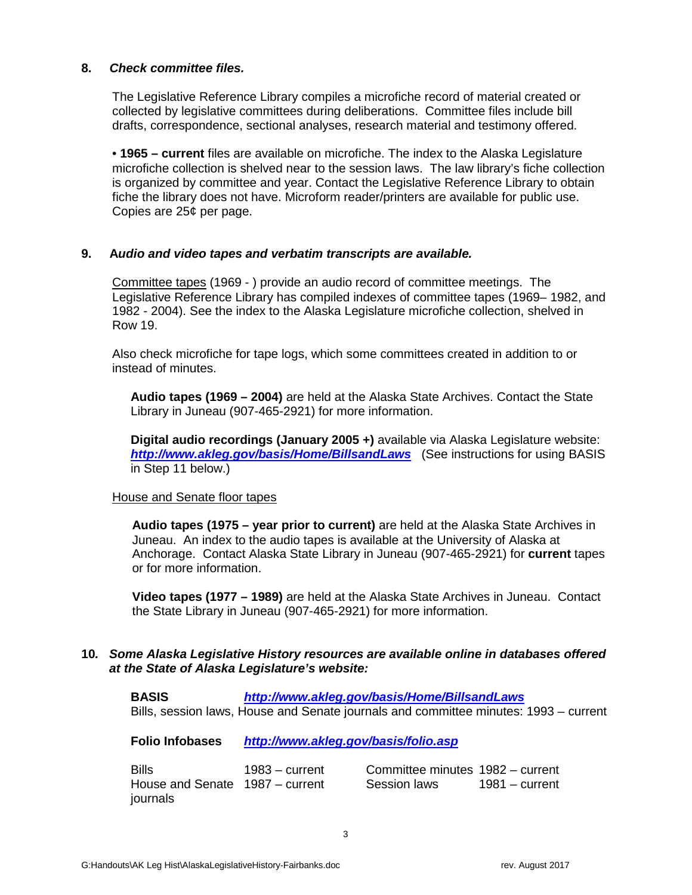#### **8.** *Check committee files.*

The Legislative Reference Library compiles a microfiche record of material created or collected by legislative committees during deliberations. Committee files include bill drafts, correspondence, sectional analyses, research material and testimony offered.

• **1965 – current** files are available on microfiche. The index to the Alaska Legislature microfiche collection is shelved near to the session laws. The law library's fiche collection is organized by committee and year. Contact the Legislative Reference Library to obtain fiche the library does not have. Microform reader/printers are available for public use. Copies are 25¢ per page.

#### **9. A***udio and video tapes and verbatim transcripts are available.*

Committee tapes (1969 - ) provide an audio record of committee meetings. The Legislative Reference Library has compiled indexes of committee tapes (1969– 1982, and 1982 - 2004). See the index to the Alaska Legislature microfiche collection, shelved in Row 19.

Also check microfiche for tape logs, which some committees created in addition to or instead of minutes.

**Audio tapes (1969 – 2004)** are held at the Alaska State Archives. Contact the State Library in Juneau (907-465-2921) for more information.

**Digital audio recordings (January 2005 +)** available via Alaska Legislature website: *<http://www.akleg.gov/basis/Home/BillsandLaws>* (See instructions for using BASIS in Step 11 below.)

#### House and Senate floor tapes

**Audio tapes (1975 – year prior to current)** are held at the Alaska State Archives in Juneau. An index to the audio tapes is available at the University of Alaska at Anchorage. Contact Alaska State Library in Juneau (907-465-2921) for **current** tapes or for more information.

**Video tapes (1977 – 1989)** are held at the Alaska State Archives in Juneau. Contact the State Library in Juneau (907-465-2921) for more information.

#### **10***. Some Alaska Legislative History resources are available online in databases offered at the State of Alaska Legislature's website:*

 **BASIS** *<http://www.akleg.gov/basis/Home/BillsandLaws>* Bills, session laws, House and Senate journals and committee minutes: 1993 – current

 **Folio Infobases** *<http://www.akleg.gov/basis/folio.asp>*

 Bills 1983 – current House and Senate 1987 – current journals

| Committee minutes 1982 – current |                  |
|----------------------------------|------------------|
| Session laws                     | $1981 - current$ |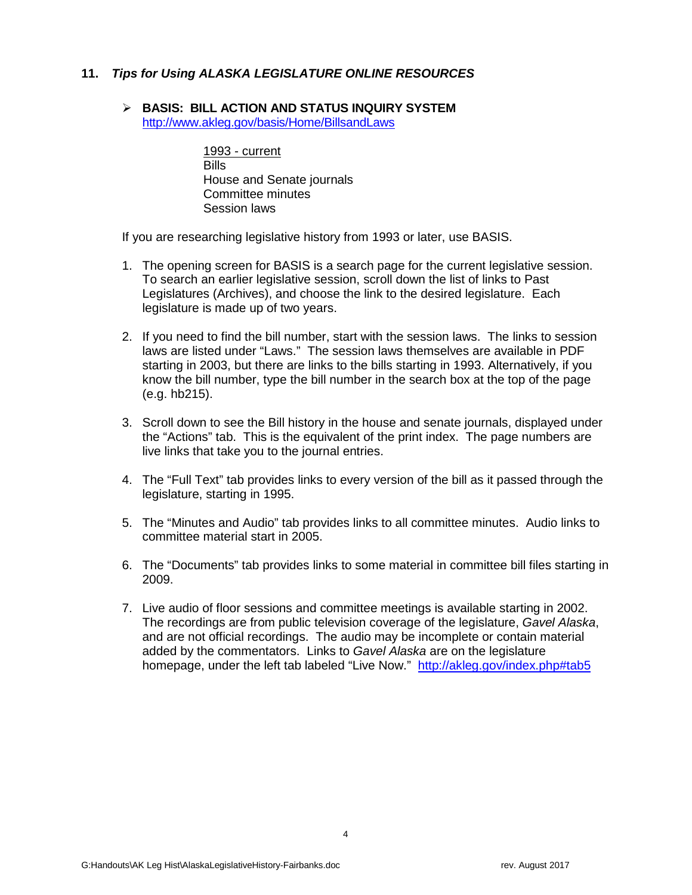## **11.** *Tips for Using ALASKA LEGISLATURE ONLINE RESOURCES*

## **BASIS: BILL ACTION AND STATUS INQUIRY SYSTEM**

<http://www.akleg.gov/basis/Home/BillsandLaws>

1993 - current **Bills** House and Senate journals Committee minutes Session laws

If you are researching legislative history from 1993 or later, use BASIS.

- 1. The opening screen for BASIS is a search page for the current legislative session. To search an earlier legislative session, scroll down the list of links to Past Legislatures (Archives), and choose the link to the desired legislature. Each legislature is made up of two years.
- 2. If you need to find the bill number, start with the session laws. The links to session laws are listed under "Laws." The session laws themselves are available in PDF starting in 2003, but there are links to the bills starting in 1993. Alternatively, if you know the bill number, type the bill number in the search box at the top of the page (e.g. hb215).
- 3. Scroll down to see the Bill history in the house and senate journals, displayed under the "Actions" tab. This is the equivalent of the print index. The page numbers are live links that take you to the journal entries.
- 4. The "Full Text" tab provides links to every version of the bill as it passed through the legislature, starting in 1995.
- 5. The "Minutes and Audio" tab provides links to all committee minutes. Audio links to committee material start in 2005.
- 6. The "Documents" tab provides links to some material in committee bill files starting in 2009.
- 7. Live audio of floor sessions and committee meetings is available starting in 2002. The recordings are from public television coverage of the legislature, *Gavel Alaska*, and are not official recordings. The audio may be incomplete or contain material added by the commentators. Links to *Gavel Alaska* are on the legislature homepage, under the left tab labeled "Live Now." <http://akleg.gov/index.php#tab5>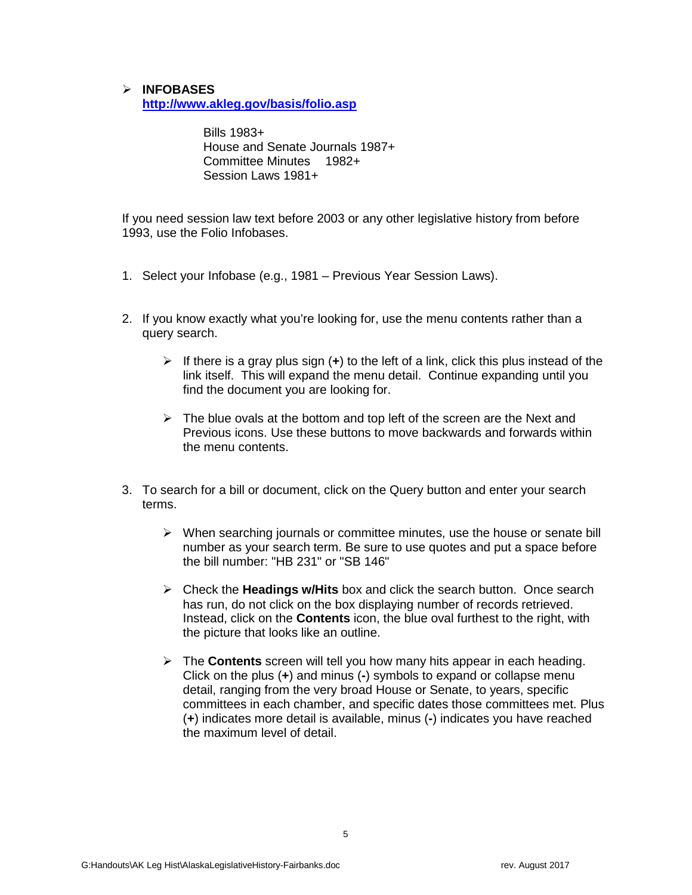**INFOBASES <http://www.akleg.gov/basis/folio.asp>**

> Bills 1983+ House and Senate Journals 1987+ Committee Minutes 1982+ Session Laws 1981+

If you need session law text before 2003 or any other legislative history from before 1993, use the Folio Infobases.

- 1. Select your Infobase (e.g., 1981 Previous Year Session Laws).
- 2. If you know exactly what you're looking for, use the menu contents rather than a query search.
	- If there is a gray plus sign  $(+)$  to the left of a link, click this plus instead of the link itself. This will expand the menu detail. Continue expanding until you find the document you are looking for.
	- $\triangleright$  The blue ovals at the bottom and top left of the screen are the Next and Previous icons. Use these buttons to move backwards and forwards within the menu contents.
- 3. To search for a bill or document, click on the Query button and enter your search terms.
	- $\triangleright$  When searching journals or committee minutes, use the house or senate bill number as your search term. Be sure to use quotes and put a space before the bill number: "HB 231" or "SB 146"
	- Check the **Headings w/Hits** box and click the search button. Once search has run, do not click on the box displaying number of records retrieved. Instead, click on the **Contents** icon, the blue oval furthest to the right, with the picture that looks like an outline.
	- The **Contents** screen will tell you how many hits appear in each heading. Click on the plus (**+**) and minus (**-**) symbols to expand or collapse menu detail, ranging from the very broad House or Senate, to years, specific committees in each chamber, and specific dates those committees met. Plus (**+**) indicates more detail is available, minus (**-**) indicates you have reached the maximum level of detail.